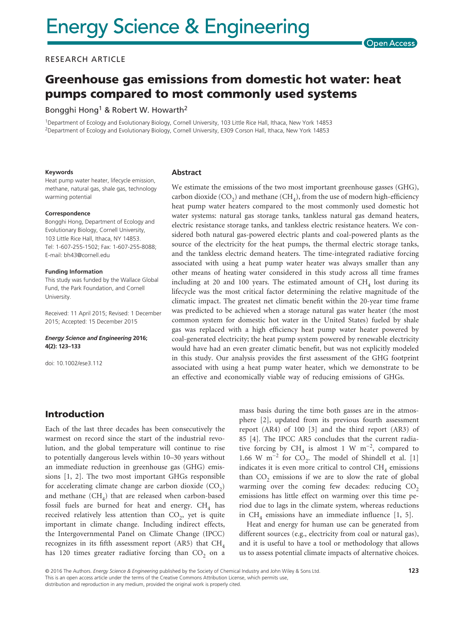### RESEARCH ARTICLE

# Greenhouse gas emissions from domestic hot water: heat pumps compared to most commonly used systems

#### Bongghi Hong<sup>1</sup> & Robert W. Howarth<sup>2</sup>

1Department of Ecology and Evolutionary Biology, Cornell University, 103 Little Rice Hall, Ithaca, New York 14853 2Department of Ecology and Evolutionary Biology, Cornell University, E309 Corson Hall, Ithaca, New York 14853

#### **Keywords**

Heat pump water heater, lifecycle emission, methane, natural gas, shale gas, technology warming potential

#### **Correspondence**

Bongghi Hong, Department of Ecology and Evolutionary Biology, Cornell University, 103 Little Rice Hall, Ithaca, NY 14853. Tel: 1-607-255-1502; Fax: 1-607-255-8088; E-mail: [bh43@cornell.edu](mailto:bh43@cornell.edu)

#### **Funding Information**

This study was funded by the Wallace Global Fund, the Park Foundation, and Cornell University.

Received: 11 April 2015; Revised: 1 December 2015; Accepted: 15 December 2015

#### *Energy Science and Engineering* **2016; 4(2): 123–133**

doi: 10.1002/ese3.112

#### **Abstract**

We estimate the emissions of the two most important greenhouse gasses (GHG), carbon dioxide  $(CO<sub>2</sub>)$  and methane  $(CH<sub>4</sub>)$ , from the use of modern high-efficiency heat pump water heaters compared to the most commonly used domestic hot water systems: natural gas storage tanks, tankless natural gas demand heaters, electric resistance storage tanks, and tankless electric resistance heaters. We considered both natural gas-powered electric plants and coal-powered plants as the source of the electricity for the heat pumps, the thermal electric storage tanks, and the tankless electric demand heaters. The time-integrated radiative forcing associated with using a heat pump water heater was always smaller than any other means of heating water considered in this study across all time frames including at 20 and 100 years. The estimated amount of  $CH<sub>4</sub>$  lost during its lifecycle was the most critical factor determining the relative magnitude of the climatic impact. The greatest net climatic benefit within the 20-year time frame was predicted to be achieved when a storage natural gas water heater (the most common system for domestic hot water in the United States) fueled by shale gas was replaced with a high efficiency heat pump water heater powered by coal-generated electricity; the heat pump system powered by renewable electricity would have had an even greater climatic benefit, but was not explicitly modeled in this study. Our analysis provides the first assessment of the GHG footprint associated with using a heat pump water heater, which we demonstrate to be an effective and economically viable way of reducing emissions of GHGs.

## Introduction

Each of the last three decades has been consecutively the warmest on record since the start of the industrial revolution, and the global temperature will continue to rise to potentially dangerous levels within 10–30 years without an immediate reduction in greenhouse gas (GHG) emissions [1, 2]. The two most important GHGs responsible for accelerating climate change are carbon dioxide  $(CO<sub>2</sub>)$ and methane  $(CH_4)$  that are released when carbon-based fossil fuels are burned for heat and energy.  $CH<sub>4</sub>$  has received relatively less attention than  $CO<sub>2</sub>$ , yet is quite important in climate change. Including indirect effects, the Intergovernmental Panel on Climate Change (IPCC) recognizes in its fifth assessment report (AR5) that  $CH<sub>4</sub>$ has 120 times greater radiative forcing than  $CO<sub>2</sub>$  on a mass basis during the time both gasses are in the atmosphere [2], updated from its previous fourth assessment report (AR4) of 100 [3] and the third report (AR3) of 85 [4]. The IPCC AR5 concludes that the current radiative forcing by CH<sub>4</sub> is almost 1 W m<sup>-2</sup>, compared to 1.66 W m<sup>-2</sup> for CO<sub>2</sub>. The model of Shindell et al. [1] indicates it is even more critical to control  $CH<sub>4</sub>$  emissions than  $CO<sub>2</sub>$  emissions if we are to slow the rate of global warming over the coming few decades: reducing  $CO<sub>2</sub>$ emissions has little effect on warming over this time period due to lags in the climate system, whereas reductions in CH<sub>4</sub> emissions have an immediate influence [1, 5].

Heat and energy for human use can be generated from different sources (e.g., electricity from coal or natural gas), and it is useful to have a tool or methodology that allows us to assess potential climate impacts of alternative choices.

© 2016 The Authors. *Energy Science & Engineering* published by the Society of Chemical Industry and John Wiley & Sons Ltd. This is an open access article under the terms of the Creative Commons Attribution License, which permits use, distribution and reproduction in any medium, provided the original work is properly cited.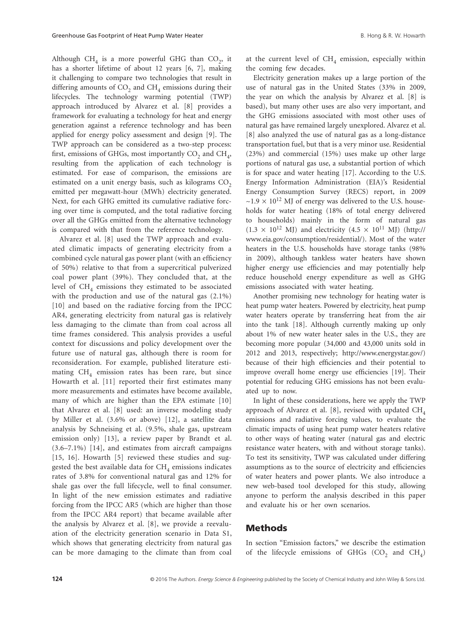Although  $CH<sub>4</sub>$  is a more powerful GHG than  $CO<sub>2</sub>$ , it has a shorter lifetime of about 12 years [6, 7], making it challenging to compare two technologies that result in differing amounts of  $CO<sub>2</sub>$  and  $CH<sub>4</sub>$  emissions during their lifecycles. The technology warming potential (TWP) approach introduced by Alvarez et al. [8] provides a framework for evaluating a technology for heat and energy generation against a reference technology and has been applied for energy policy assessment and design [9]. The TWP approach can be considered as a two-step process: first, emissions of GHGs, most importantly  $CO<sub>2</sub>$  and  $CH<sub>4</sub>$ , resulting from the application of each technology is estimated. For ease of comparison, the emissions are estimated on a unit energy basis, such as kilograms CO<sub>2</sub> emitted per megawatt-hour (MWh) electricity generated. Next, for each GHG emitted its cumulative radiative forcing over time is computed, and the total radiative forcing over all the GHGs emitted from the alternative technology is compared with that from the reference technology.

Alvarez et al. [8] used the TWP approach and evaluated climatic impacts of generating electricity from a combined cycle natural gas power plant (with an efficiency of 50%) relative to that from a supercritical pulverized coal power plant (39%). They concluded that, at the level of  $CH<sub>4</sub>$  emissions they estimated to be associated with the production and use of the natural gas (2.1%) [10] and based on the radiative forcing from the IPCC AR4, generating electricity from natural gas is relatively less damaging to the climate than from coal across all time frames considered. This analysis provides a useful context for discussions and policy development over the future use of natural gas, although there is room for reconsideration. For example, published literature estimating  $CH<sub>4</sub>$  emission rates has been rare, but since Howarth et al. [11] reported their first estimates many more measurements and estimates have become available, many of which are higher than the EPA estimate [10] that Alvarez et al. [8] used: an inverse modeling study by Miller et al. (3.6% or above) [12], a satellite data analysis by Schneising et al. (9.5%, shale gas, upstream emission only) [13], a review paper by Brandt et al. (3.6–7.1%) [14], and estimates from aircraft campaigns [15, 16]. Howarth [5] reviewed these studies and suggested the best available data for  $CH<sub>4</sub>$  emissions indicates rates of 3.8% for conventional natural gas and 12% for shale gas over the full lifecycle, well to final consumer. In light of the new emission estimates and radiative forcing from the IPCC AR5 (which are higher than those from the IPCC AR4 report) that became available after the analysis by Alvarez et al. [8], we provide a reevaluation of the electricity generation scenario in Data S1, which shows that generating electricity from natural gas can be more damaging to the climate than from coal at the current level of  $CH<sub>4</sub>$  emission, especially within the coming few decades.

Electricity generation makes up a large portion of the use of natural gas in the United States (33% in 2009, the year on which the analysis by Alvarez et al. [8] is based), but many other uses are also very important, and the GHG emissions associated with most other uses of natural gas have remained largely unexplored. Alvarez et al. [8] also analyzed the use of natural gas as a long-distance transportation fuel, but that is a very minor use. Residential (23%) and commercial (15%) uses make up other large portions of natural gas use, a substantial portion of which is for space and water heating [17]. According to the U.S. Energy Information Administration (EIA)'s Residential Energy Consumption Survey (RECS) report, in 2009  $\sim$ 1.9  $\times$  10<sup>12</sup> MJ of energy was delivered to the U.S. households for water heating (18% of total energy delivered to households) mainly in the form of natural gas  $(1.3 \times 10^{12} \text{ MJ})$  and electricity  $(4.5 \times 10^{11} \text{ MJ})$  ([http://](http://www.eia.gov/consumption/residential/) [www.eia.gov/consumption/residential/\)](http://www.eia.gov/consumption/residential/). Most of the water heaters in the U.S. households have storage tanks (98% in 2009), although tankless water heaters have shown higher energy use efficiencies and may potentially help reduce household energy expenditure as well as GHG emissions associated with water heating.

Another promising new technology for heating water is heat pump water heaters. Powered by electricity, heat pump water heaters operate by transferring heat from the air into the tank [18]. Although currently making up only about 1% of new water heater sales in the U.S., they are becoming more popular (34,000 and 43,000 units sold in 2012 and 2013, respectively; [http://www.energystar.gov/\)](http://www.energystar.gov/) because of their high efficiencies and their potential to improve overall home energy use efficiencies [19]. Their potential for reducing GHG emissions has not been evaluated up to now.

In light of these considerations, here we apply the TWP approach of Alvarez et al. [8], revised with updated  $CH<sub>4</sub>$ emissions and radiative forcing values, to evaluate the climatic impacts of using heat pump water heaters relative to other ways of heating water (natural gas and electric resistance water heaters, with and without storage tanks). To test its sensitivity, TWP was calculated under differing assumptions as to the source of electricity and efficiencies of water heaters and power plants. We also introduce a new web-based tool developed for this study, allowing anyone to perform the analysis described in this paper and evaluate his or her own scenarios.

### Methods

In section "Emission factors," we describe the estimation of the lifecycle emissions of GHGs  $(CO_2)$  and  $CH<sub>A</sub>$ )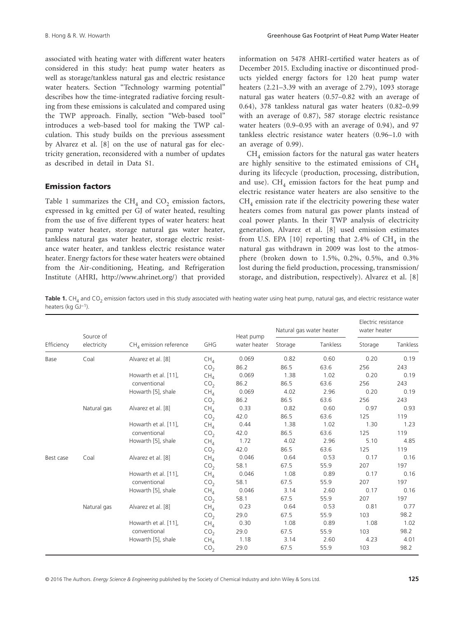associated with heating water with different water heaters considered in this study: heat pump water heaters as well as storage/tankless natural gas and electric resistance water heaters. Section "Technology warming potential" describes how the time-integrated radiative forcing resulting from these emissions is calculated and compared using the TWP approach. Finally, section "Web-based tool" introduces a web-based tool for making the TWP calculation. This study builds on the previous assessment by Alvarez et al. [8] on the use of natural gas for electricity generation, reconsidered with a number of updates as described in detail in Data S1.

### Emission factors

Table 1 summarizes the  $CH<sub>4</sub>$  and  $CO<sub>2</sub>$  emission factors, expressed in kg emitted per GJ of water heated, resulting from the use of five different types of water heaters: heat pump water heater, storage natural gas water heater, tankless natural gas water heater, storage electric resistance water heater, and tankless electric resistance water heater. Energy factors for these water heaters were obtained from the Air-conditioning, Heating, and Refrigeration Institute (AHRI, [http://www.ahrinet.org/\)](http://www.ahrinet.org/) that provided information on 5478 AHRI-certified water heaters as of December 2015. Excluding inactive or discontinued products yielded energy factors for 120 heat pump water heaters (2.21–3.39 with an average of 2.79), 1093 storage natural gas water heaters (0.57–0.82 with an average of 0.64), 378 tankless natural gas water heaters (0.82–0.99 with an average of 0.87), 587 storage electric resistance water heaters (0.9–0.95 with an average of 0.94), and 97 tankless electric resistance water heaters (0.96–1.0 with an average of 0.99).

 $CH<sub>4</sub>$  emission factors for the natural gas water heaters are highly sensitive to the estimated emissions of  $CH<sub>4</sub>$ during its lifecycle (production, processing, distribution, and use).  $CH<sub>A</sub>$  emission factors for the heat pump and electric resistance water heaters are also sensitive to the  $CH<sub>4</sub>$  emission rate if the electricity powering these water heaters comes from natural gas power plants instead of coal power plants. In their TWP analysis of electricity generation, Alvarez et al. [8] used emission estimates from U.S. EPA  $[10]$  reporting that 2.4% of CH<sub>4</sub> in the natural gas withdrawn in 2009 was lost to the atmosphere (broken down to 1.5%, 0.2%, 0.5%, and 0.3% lost during the field production, processing, transmission/ storage, and distribution, respectively). Alvarez et al. [8]

Table 1. CH<sub>4</sub> and CO<sub>2</sub> emission factors used in this study associated with heating water using heat pump, natural gas, and electric resistance water heaters (kg GJ<sup>-1</sup>).

| Efficiency | Source of<br>electricity | $CH4$ emission reference | GHG             | Heat pump<br>water heater | Natural gas water heater |          | Electric resistance<br>water heater |          |
|------------|--------------------------|--------------------------|-----------------|---------------------------|--------------------------|----------|-------------------------------------|----------|
|            |                          |                          |                 |                           | Storage                  | Tankless | Storage                             | Tankless |
| Base       | Coal                     | Alvarez et al. [8]       | CH <sub>A</sub> | 0.069                     | 0.82                     | 0.60     | 0.20                                | 0.19     |
|            |                          |                          | CO <sub>2</sub> | 86.2                      | 86.5                     | 63.6     | 256                                 | 243      |
|            |                          | Howarth et al. [11],     | CH <sub>4</sub> | 0.069                     | 1.38                     | 1.02     | 0.20                                | 0.19     |
|            |                          | conventional             | CO <sub>2</sub> | 86.2                      | 86.5                     | 63.6     | 256                                 | 243      |
|            |                          | Howarth [5], shale       | CH <sub>A</sub> | 0.069                     | 4.02                     | 2.96     | 0.20                                | 0.19     |
|            |                          |                          | CO <sub>2</sub> | 86.2                      | 86.5                     | 63.6     | 256                                 | 243      |
|            | Natural gas              | Alvarez et al. [8]       | CH <sub>4</sub> | 0.33                      | 0.82                     | 0.60     | 0.97                                | 0.93     |
|            |                          |                          | CO <sub>2</sub> | 42.0                      | 86.5                     | 63.6     | 125                                 | 119      |
|            |                          | Howarth et al. [11],     | CH <sub>A</sub> | 0.44                      | 1.38                     | 1.02     | 1.30                                | 1.23     |
|            |                          | conventional             | CO <sub>2</sub> | 42.0                      | 86.5                     | 63.6     | 125                                 | 119      |
|            |                          | Howarth [5], shale       | CH <sub>A</sub> | 1.72                      | 4.02                     | 2.96     | 5.10                                | 4.85     |
|            |                          |                          | CO <sub>2</sub> | 42.0                      | 86.5                     | 63.6     | 125                                 | 119      |
| Best case  | Coal                     | Alvarez et al. [8]       | CH <sub>A</sub> | 0.046                     | 0.64                     | 0.53     | 0.17                                | 0.16     |
|            |                          |                          | CO <sub>2</sub> | 58.1                      | 67.5                     | 55.9     | 207                                 | 197      |
|            |                          | Howarth et al. [11],     | CH <sub>4</sub> | 0.046                     | 1.08                     | 0.89     | 0.17                                | 0.16     |
|            |                          | conventional             | CO <sub>2</sub> | 58.1                      | 67.5                     | 55.9     | 207                                 | 197      |
|            |                          | Howarth [5], shale       | CH <sub>4</sub> | 0.046                     | 3.14                     | 2.60     | 0.17                                | 0.16     |
|            |                          |                          | CO <sub>2</sub> | 58.1                      | 67.5                     | 55.9     | 207                                 | 197      |
|            | Natural gas              | Alvarez et al. [8]       | CH <sub>4</sub> | 0.23                      | 0.64                     | 0.53     | 0.81                                | 0.77     |
|            |                          |                          | CO <sub>2</sub> | 29.0                      | 67.5                     | 55.9     | 103                                 | 98.2     |
|            |                          | Howarth et al. [11],     | CH <sub>4</sub> | 0.30                      | 1.08                     | 0.89     | 1.08                                | 1.02     |
|            |                          | conventional             | CO <sub>2</sub> | 29.0                      | 67.5                     | 55.9     | 103                                 | 98.2     |
|            |                          | Howarth [5], shale       | CH <sub>A</sub> | 1.18                      | 3.14                     | 2.60     | 4.23                                | 4.01     |
|            |                          |                          | CO <sub>2</sub> | 29.0                      | 67.5                     | 55.9     | 103                                 | 98.2     |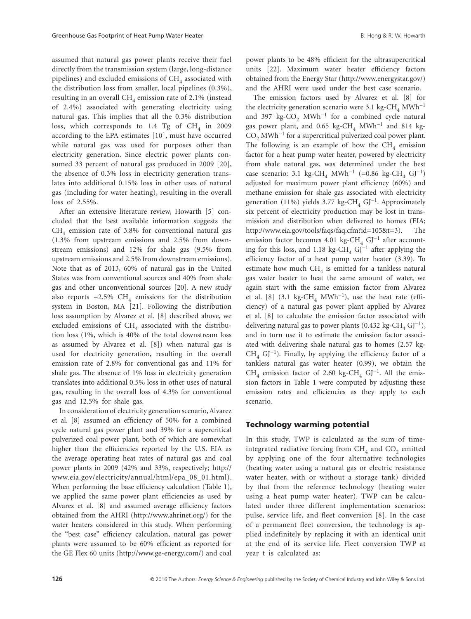assumed that natural gas power plants receive their fuel directly from the transmission system (large, long-distance pipelines) and excluded emissions of  $CH<sub>4</sub>$  associated with the distribution loss from smaller, local pipelines (0.3%), resulting in an overall  $CH<sub>4</sub>$  emission rate of 2.1% (instead of 2.4%) associated with generating electricity using natural gas. This implies that all the 0.3% distribution loss, which corresponds to 1.4 Tg of  $CH<sub>4</sub>$  in 2009 according to the EPA estimates [10], must have occurred while natural gas was used for purposes other than electricity generation. Since electric power plants consumed 33 percent of natural gas produced in 2009 [20], the absence of 0.3% loss in electricity generation translates into additional 0.15% loss in other uses of natural gas (including for water heating), resulting in the overall loss of 2.55%.

After an extensive literature review, Howarth [5] concluded that the best available information suggests the  $CH<sub>4</sub>$  emission rate of 3.8% for conventional natural gas (1.3% from upstream emissions and 2.5% from downstream emissions) and 12% for shale gas (9.5% from upstream emissions and 2.5% from downstream emissions). Note that as of 2013, 60% of natural gas in the United States was from conventional sources and 40% from shale gas and other unconventional sources [20]. A new study also reports ~2.5% CH<sub>4</sub> emissions for the distribution system in Boston, MA [21]. Following the distribution loss assumption by Alvarez et al. [8] described above, we excluded emissions of  $CH<sub>4</sub>$  associated with the distribution loss (1%, which is 40% of the total downstream loss as assumed by Alvarez et al. [8]) when natural gas is used for electricity generation, resulting in the overall emission rate of 2.8% for conventional gas and 11% for shale gas. The absence of 1% loss in electricity generation translates into additional 0.5% loss in other uses of natural gas, resulting in the overall loss of 4.3% for conventional gas and 12.5% for shale gas.

In consideration of electricity generation scenario, Alvarez et al. [8] assumed an efficiency of 50% for a combined cycle natural gas power plant and 39% for a supercritical pulverized coal power plant, both of which are somewhat higher than the efficiencies reported by the U.S. EIA as the average operating heat rates of natural gas and coal power plants in 2009 (42% and 33%, respectively; [http://](http://www.eia.gov/electricity/annual/html/epa_08_01.html) [www.eia.gov/electricity/annual/html/epa\\_08\\_01.html\)](http://www.eia.gov/electricity/annual/html/epa_08_01.html). When performing the base efficiency calculation (Table 1), we applied the same power plant efficiencies as used by Alvarez et al. [8] and assumed average efficiency factors obtained from the AHRI ([http://www.ahrinet.org/\)](http://www.ahrinet.org/) for the water heaters considered in this study. When performing the "best case" efficiency calculation, natural gas power plants were assumed to be 60% efficient as reported for the GE Flex 60 units [\(http://www.ge-energy.com/](http://www.ge-energy.com/)) and coal power plants to be 48% efficient for the ultrasupercritical units [22]. Maximum water heater efficiency factors obtained from the Energy Star ([http://www.energystar.gov/\)](http://www.energystar.gov/) and the AHRI were used under the best case scenario.

The emission factors used by Alvarez et al. [8] for the electricity generation scenario were 3.1 kg-CH<sub>4</sub> MWh<sup>-1</sup> and 397 kg-CO<sub>2</sub> MWh<sup>-1</sup> for a combined cycle natural gas power plant, and 0.65 kg-CH<sub>4</sub> MWh<sup>-1</sup> and 814 kg- $CO<sub>2</sub>$  MWh<sup>-1</sup> for a supercritical pulverized coal power plant. The following is an example of how the  $CH<sub>4</sub>$  emission factor for a heat pump water heater, powered by electricity from shale natural gas, was determined under the best case scenario: 3.1 kg-CH<sub>4</sub> MWh<sup>-1</sup> (=0.86 kg-CH<sub>4</sub> GJ<sup>-1</sup>) adjusted for maximum power plant efficiency (60%) and methane emission for shale gas associated with electricity generation (11%) yields 3.77 kg-CH<sub>4</sub> GJ<sup>-1</sup>. Approximately six percent of electricity production may be lost in transmission and distribution when delivered to homes (EIA; [http://www.eia.gov/tools/faqs/faq.cfm?id=105&t=3](http://www.eia.gov/tools/faqs/faq.cfm?id=105%26t=3)). The emission factor becomes 4.01 kg-CH<sub>4</sub> GJ<sup>-1</sup> after accounting for this loss, and 1.18 kg-CH<sub>4</sub> GJ<sup>-1</sup> after applying the efficiency factor of a heat pump water heater (3.39). To estimate how much  $CH<sub>4</sub>$  is emitted for a tankless natural gas water heater to heat the same amount of water, we again start with the same emission factor from Alvarez et al. [8] (3.1 kg-CH<sub>4</sub> MWh<sup>-1</sup>), use the heat rate (efficiency) of a natural gas power plant applied by Alvarez et al. [8] to calculate the emission factor associated with delivering natural gas to power plants (0.432 kg-CH<sub>4</sub> GJ<sup>-1</sup>), and in turn use it to estimate the emission factor associated with delivering shale natural gas to homes (2.57 kg- $CH<sub>4</sub>$  GJ<sup>-1</sup>). Finally, by applying the efficiency factor of a tankless natural gas water heater (0.99), we obtain the CH<sub>4</sub> emission factor of 2.60 kg-CH<sub>4</sub> GJ<sup>-1</sup>. All the emission factors in Table 1 were computed by adjusting these emission rates and efficiencies as they apply to each scenario.

#### Technology warming potential

In this study, TWP is calculated as the sum of timeintegrated radiative forcing from  $CH<sub>4</sub>$  and  $CO<sub>2</sub>$  emitted by applying one of the four alternative technologies (heating water using a natural gas or electric resistance water heater, with or without a storage tank) divided by that from the reference technology (heating water using a heat pump water heater). TWP can be calculated under three different implementation scenarios: pulse, service life, and fleet conversion [8]. In the case of a permanent fleet conversion, the technology is applied indefinitely by replacing it with an identical unit at the end of its service life. Fleet conversion TWP at year t is calculated as: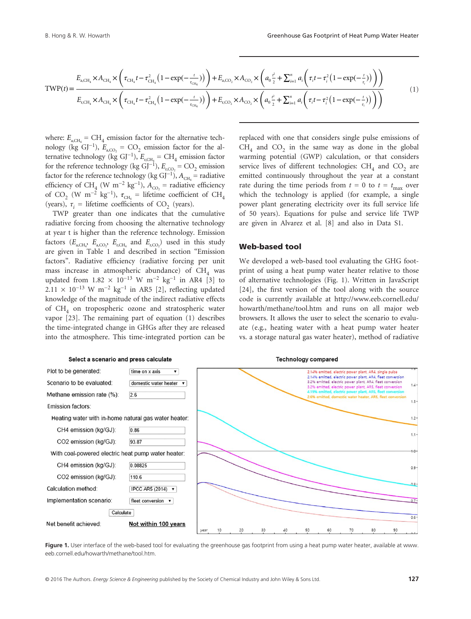$$
\text{TWP}(t) = \frac{E_{a, \text{CH}_4} \times A_{\text{CH}_4} \times \left(\tau_{\text{CH}_4} t - \tau_{\text{CH}_4}^2 \left(1 - \exp(-\frac{t}{\tau_{\text{CH}_4}})\right)\right) + E_{a, \text{CO}_2} \times A_{\text{CO}_2} \times \left(a_0 \frac{t^2}{2} + \sum_{i=1}^n a_i \left(\tau_i t - \tau_i^2 \left(1 - \exp(-\frac{t}{\tau_i})\right)\right)\right)}{E_{\text{r,CH}_4} \times A_{\text{CH}_4} \times \left(\tau_{\text{CH}_4} t - \tau_{\text{CH}_4}^2 \left(1 - \exp(-\frac{t}{\tau_{\text{CH}_4}})\right)\right) + E_{\text{r,CO}_2} \times A_{\text{CO}_2} \times \left(a_0 \frac{t^2}{2} + \sum_{i=1}^n a_i \left(\tau_i t - \tau_i^2 \left(1 - \exp(-\frac{t}{\tau_i})\right)\right)\right)}\tag{1}
$$

where:  $E_{\text{a,CH}} = \text{CH}_4$  emission factor for the alternative technology (kg GJ<sup>-1</sup>),  $E_{a,CO_2} = CO_2$  emission factor for the alternative technology (kg GJ<sup>-1</sup>),  $E$ <sub>r,CH<sub>4</sub></sub> = CH<sub>4</sub> emission factor for the reference technology (kg GJ<sup>-1</sup>),  $E_{r,CO_2} = CO_2$  emission factor for the reference technology (kg GJ<sup>-1</sup>),  $A_{\text{CH}_4}$  = radiative efficiency of CH<sub>4</sub> (W m<sup>-2</sup> kg<sup>-1</sup>),  $A_{CO_2}$  = radiative efficiency of CO<sub>2</sub> (W m<sup>-2</sup> kg<sup>-1</sup>),  $\tau_{\text{CH}_4}$  = lifetime coefficient of CH<sub>4</sub> (years),  $\tau_i$  = lifetime coefficients of CO<sub>2</sub> (years).

TWP greater than one indicates that the cumulative radiative forcing from choosing the alternative technology at year t is higher than the reference technology. Emission factors  $(E_{a,CH_4}, E_{a,CO_2}, E_{r,CH_4}$  and  $E_{r,CO_2}$ ) used in this study are given in Table 1 and described in section "Emission factors". Radiative efficiency (radiative forcing per unit mass increase in atmospheric abundance) of  $CH<sub>4</sub>$  was updated from  $1.82 \times 10^{-13}$  W m<sup>-2</sup> kg<sup>-1</sup> in AR4 [3] to  $2.11 \times 10^{-13}$  W m<sup>-2</sup> kg<sup>-1</sup> in AR5 [2], reflecting updated knowledge of the magnitude of the indirect radiative effects of  $CH<sub>4</sub>$  on tropospheric ozone and stratospheric water vapor [23]. The remaining part of equation (1) describes the time-integrated change in GHGs after they are released into the atmosphere. This time-integrated portion can be

replaced with one that considers single pulse emissions of  $CH<sub>4</sub>$  and  $CO<sub>2</sub>$  in the same way as done in the global warming potential (GWP) calculation, or that considers service lives of different technologies:  $CH<sub>4</sub>$  and  $CO<sub>2</sub>$  are emitted continuously throughout the year at a constant rate during the time periods from  $t = 0$  to  $t = t_{\text{max}}$  over which the technology is applied (for example, a single power plant generating electricity over its full service life of 50 years). Equations for pulse and service life TWP are given in Alvarez et al. [8] and also in Data S1.

#### Web-based tool

We developed a web-based tool evaluating the GHG footprint of using a heat pump water heater relative to those of alternative technologies (Fig. 1). Written in JavaScript [24], the first version of the tool along with the source code is currently available at [http://www.eeb.cornell.edu/](http://www.eeb.cornell.edu/howarth/methane/tool.htm) [howarth/methane/tool.htm](http://www.eeb.cornell.edu/howarth/methane/tool.htm) and runs on all major web browsers. It allows the user to select the scenario to evaluate (e.g., heating water with a heat pump water heater vs. a storage natural gas water heater), method of radiative



**Figure 1.** User interface of the web-based tool for evaluating the greenhouse gas footprint from using a heat pump water heater, available at [www.](http://www.eeb.cornell.edu/howarth/methane/tool.htm) [eeb.cornell.edu/howarth/methane/tool.htm.](http://www.eeb.cornell.edu/howarth/methane/tool.htm)

#### Select a scenario and press calculate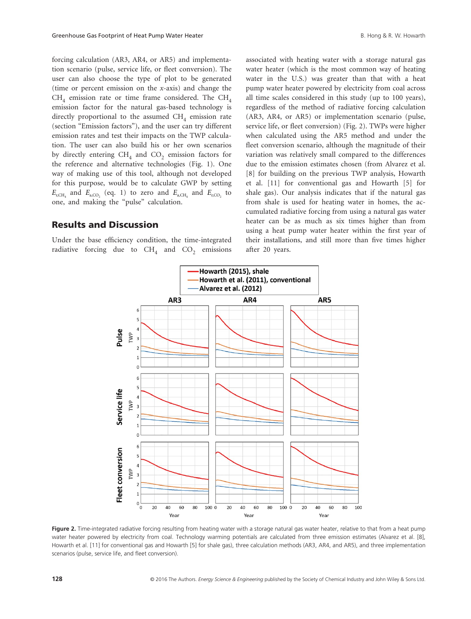forcing calculation (AR3, AR4, or AR5) and implementation scenario (pulse, service life, or fleet conversion). The user can also choose the type of plot to be generated (time or percent emission on the *x*-axis) and change the  $CH<sub>4</sub>$  emission rate or time frame considered. The CH<sub>4</sub> emission factor for the natural gas-based technology is directly proportional to the assumed  $CH<sub>4</sub>$  emission rate (section "Emission factors"), and the user can try different emission rates and test their impacts on the TWP calculation. The user can also build his or her own scenarios by directly entering  $CH_4$  and  $CO_2$  emission factors for the reference and alternative technologies (Fig. 1). One way of making use of this tool, although not developed for this purpose, would be to calculate GWP by setting  $E_{\text{r,CH}_4}$  and  $E_{\text{a,CO}_2}$  (eq. 1) to zero and  $E_{\text{a,CH}_4}$  and  $E_{\text{r,CO}_2}$  to one, and making the "pulse" calculation.

### Results and Discussion

Under the base efficiency condition, the time-integrated radiative forcing due to  $CH<sub>4</sub>$  and  $CO<sub>2</sub>$  emissions associated with heating water with a storage natural gas water heater (which is the most common way of heating water in the U.S.) was greater than that with a heat pump water heater powered by electricity from coal across all time scales considered in this study (up to 100 years), regardless of the method of radiative forcing calculation (AR3, AR4, or AR5) or implementation scenario (pulse, service life, or fleet conversion) (Fig. 2). TWPs were higher when calculated using the AR5 method and under the fleet conversion scenario, although the magnitude of their variation was relatively small compared to the differences due to the emission estimates chosen (from Alvarez et al. [8] for building on the previous TWP analysis, Howarth et al. [11] for conventional gas and Howarth [5] for shale gas). Our analysis indicates that if the natural gas from shale is used for heating water in homes, the accumulated radiative forcing from using a natural gas water heater can be as much as six times higher than from using a heat pump water heater within the first year of their installations, and still more than five times higher after 20 years.



**Figure 2.** Time-integrated radiative forcing resulting from heating water with a storage natural gas water heater, relative to that from a heat pump water heater powered by electricity from coal. Technology warming potentials are calculated from three emission estimates (Alvarez et al. [8], Howarth et al. [11] for conventional gas and Howarth [5] for shale gas), three calculation methods (AR3, AR4, and AR5), and three implementation scenarios (pulse, service life, and fleet conversion).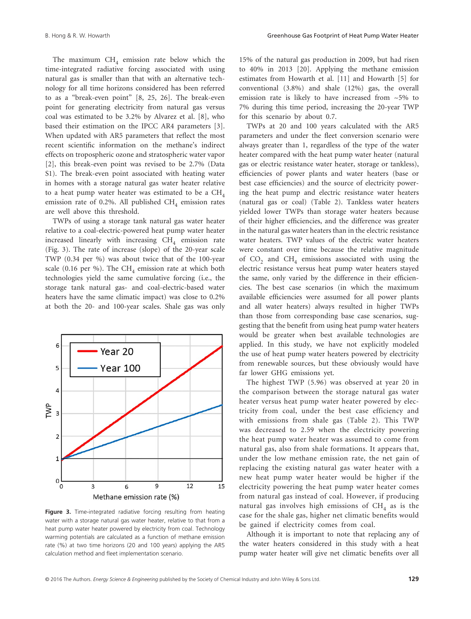The maximum  $CH<sub>4</sub>$  emission rate below which the time-integrated radiative forcing associated with using natural gas is smaller than that with an alternative technology for all time horizons considered has been referred to as a "break-even point" [8, 25, 26]. The break-even point for generating electricity from natural gas versus coal was estimated to be 3.2% by Alvarez et al. [8], who based their estimation on the IPCC AR4 parameters [3]. When updated with AR5 parameters that reflect the most recent scientific information on the methane's indirect effects on tropospheric ozone and stratospheric water vapor [2], this break-even point was revised to be 2.7% (Data S1). The break-even point associated with heating water in homes with a storage natural gas water heater relative to a heat pump water heater was estimated to be a  $CH<sub>4</sub>$ emission rate of 0.2%. All published  $CH<sub>4</sub>$  emission rates are well above this threshold.

TWPs of using a storage tank natural gas water heater relative to a coal-electric-powered heat pump water heater increased linearly with increasing  $CH<sub>4</sub>$  emission rate (Fig. 3). The rate of increase (slope) of the 20-year scale TWP (0.34 per %) was about twice that of the 100-year scale (0.16 per %). The CH<sub>4</sub> emission rate at which both technologies yield the same cumulative forcing (i.e., the storage tank natural gas- and coal-electric-based water heaters have the same climatic impact) was close to 0.2% at both the 20- and 100-year scales. Shale gas was only



**Figure 3.** Time-integrated radiative forcing resulting from heating water with a storage natural gas water heater, relative to that from a heat pump water heater powered by electricity from coal. Technology warming potentials are calculated as a function of methane emission rate (%) at two time horizons (20 and 100 years) applying the AR5 calculation method and fleet implementation scenario.

15% of the natural gas production in 2009, but had risen to 40% in 2013 [20]. Applying the methane emission estimates from Howarth et al. [11] and Howarth [5] for conventional (3.8%) and shale (12%) gas, the overall emission rate is likely to have increased from ~5% to 7% during this time period, increasing the 20-year TWP for this scenario by about 0.7.

TWPs at 20 and 100 years calculated with the AR5 parameters and under the fleet conversion scenario were always greater than 1, regardless of the type of the water heater compared with the heat pump water heater (natural gas or electric resistance water heater, storage or tankless), efficiencies of power plants and water heaters (base or best case efficiencies) and the source of electricity powering the heat pump and electric resistance water heaters (natural gas or coal) (Table 2). Tankless water heaters yielded lower TWPs than storage water heaters because of their higher efficiencies, and the difference was greater in the natural gas water heaters than in the electric resistance water heaters. TWP values of the electric water heaters were constant over time because the relative magnitude of  $CO<sub>2</sub>$  and  $CH<sub>4</sub>$  emissions associated with using the electric resistance versus heat pump water heaters stayed the same, only varied by the difference in their efficiencies. The best case scenarios (in which the maximum available efficiencies were assumed for all power plants and all water heaters) always resulted in higher TWPs than those from corresponding base case scenarios, suggesting that the benefit from using heat pump water heaters would be greater when best available technologies are applied. In this study, we have not explicitly modeled the use of heat pump water heaters powered by electricity from renewable sources, but these obviously would have far lower GHG emissions yet.

The highest TWP (5.96) was observed at year 20 in the comparison between the storage natural gas water heater versus heat pump water heater powered by electricity from coal, under the best case efficiency and with emissions from shale gas (Table 2). This TWP was decreased to 2.59 when the electricity powering the heat pump water heater was assumed to come from natural gas, also from shale formations. It appears that, under the low methane emission rate, the net gain of replacing the existing natural gas water heater with a new heat pump water heater would be higher if the electricity powering the heat pump water heater comes from natural gas instead of coal. However, if producing natural gas involves high emissions of  $CH<sub>4</sub>$  as is the case for the shale gas, higher net climatic benefits would be gained if electricity comes from coal.

Although it is important to note that replacing any of the water heaters considered in this study with a heat pump water heater will give net climatic benefits over all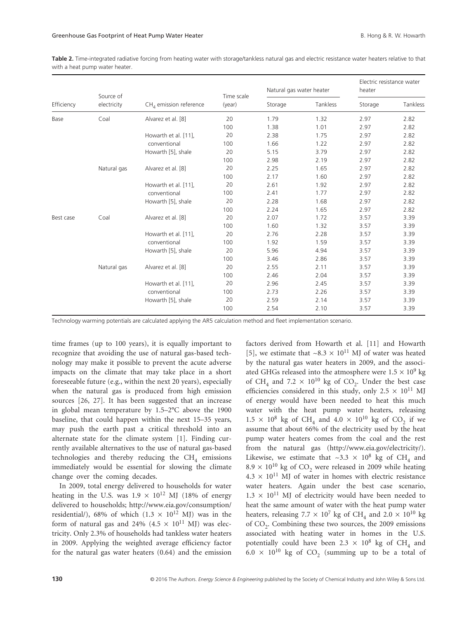**Table 2.** Time-integrated radiative forcing from heating water with storage/tankless natural gas and electric resistance water heaters relative to that with a heat pump water heater.

| Efficiency | Source of   | $CHA$ emission reference | Time scale<br>(year) | Natural gas water heater |          | Electric resistance water<br>heater |          |
|------------|-------------|--------------------------|----------------------|--------------------------|----------|-------------------------------------|----------|
|            | electricity |                          |                      | Storage                  | Tankless | Storage                             | Tankless |
| Base       | Coal        | Alvarez et al. [8]       | 20                   | 1.79                     | 1.32     | 2.97                                | 2.82     |
|            |             |                          | 100                  | 1.38                     | 1.01     | 2.97                                | 2.82     |
|            |             | Howarth et al. [11],     | 20                   | 2.38                     | 1.75     | 2.97                                | 2.82     |
|            |             | conventional             | 100                  | 1.66                     | 1.22     | 2.97                                | 2.82     |
|            |             | Howarth [5], shale       | 20                   | 5.15                     | 3.79     | 2.97                                | 2.82     |
|            |             |                          | 100                  | 2.98                     | 2.19     | 2.97                                | 2.82     |
|            | Natural gas | Alvarez et al. [8]       | 20                   | 2.25                     | 1.65     | 2.97                                | 2.82     |
|            |             |                          | 100                  | 2.17                     | 1.60     | 2.97                                | 2.82     |
|            |             | Howarth et al. [11],     | 20                   | 2.61                     | 1.92     | 2.97                                | 2.82     |
|            |             | conventional             | 100                  | 2.41                     | 1.77     | 2.97                                | 2.82     |
|            |             | Howarth [5], shale       | 20                   | 2.28                     | 1.68     | 2.97                                | 2.82     |
|            |             |                          | 100                  | 2.24                     | 1.65     | 2.97                                | 2.82     |
| Best case  | Coal        | Alvarez et al. [8]       | 20                   | 2.07                     | 1.72     | 3.57                                | 3.39     |
|            |             |                          | 100                  | 1.60                     | 1.32     | 3.57                                | 3.39     |
|            |             | Howarth et al. [11],     | 20                   | 2.76                     | 2.28     | 3.57                                | 3.39     |
|            |             | conventional             | 100                  | 1.92                     | 1.59     | 3.57                                | 3.39     |
|            |             | Howarth [5], shale       | 20                   | 5.96                     | 4.94     | 3.57                                | 3.39     |
|            |             |                          | 100                  | 3.46                     | 2.86     | 3.57                                | 3.39     |
|            | Natural gas | Alvarez et al. [8]       | 20                   | 2.55                     | 2.11     | 3.57                                | 3.39     |
|            |             |                          | 100                  | 2.46                     | 2.04     | 3.57                                | 3.39     |
|            |             | Howarth et al. [11],     | 20                   | 2.96                     | 2.45     | 3.57                                | 3.39     |
|            |             | conventional             | 100                  | 2.73                     | 2.26     | 3.57                                | 3.39     |
|            |             | Howarth [5], shale       | 20                   | 2.59                     | 2.14     | 3.57                                | 3.39     |
|            |             |                          | 100                  | 2.54                     | 2.10     | 3.57                                | 3.39     |

Technology warming potentials are calculated applying the AR5 calculation method and fleet implementation scenario.

time frames (up to 100 years), it is equally important to recognize that avoiding the use of natural gas-based technology may make it possible to prevent the acute adverse impacts on the climate that may take place in a short foreseeable future (e.g., within the next 20 years), especially when the natural gas is produced from high emission sources [26, 27]. It has been suggested that an increase in global mean temperature by 1.5–2°C above the 1900 baseline, that could happen within the next 15–35 years, may push the earth past a critical threshold into an alternate state for the climate system [1]. Finding currently available alternatives to the use of natural gas-based technologies and thereby reducing the  $CH<sub>4</sub>$  emissions immediately would be essential for slowing the climate change over the coming decades.

In 2009, total energy delivered to households for water heating in the U.S. was  $1.9 \times 10^{12}$  MJ (18% of energy delivered to households; [http://www.eia.gov/consumption/](http://www.eia.gov/consumption/residential/) [residential/](http://www.eia.gov/consumption/residential/)), 68% of which  $(1.3 \times 10^{12} \text{ MJ})$  was in the form of natural gas and 24% (4.5  $\times$  10<sup>11</sup> MJ) was electricity. Only 2.3% of households had tankless water heaters in 2009. Applying the weighted average efficiency factor for the natural gas water heaters (0.64) and the emission

factors derived from Howarth et al. [11] and Howarth [5], we estimate that  $\sim 8.3 \times 10^{11}$  MJ of water was heated by the natural gas water heaters in 2009, and the associated GHGs released into the atmosphere were  $1.5 \times 10^9$  kg of CH<sub>4</sub> and 7.2  $\times$  10<sup>10</sup> kg of CO<sub>2</sub>. Under the best case efficiencies considered in this study, only  $2.5 \times 10^{11}$  MJ of energy would have been needed to heat this much water with the heat pump water heaters, releasing  $1.5 \times 10^8$  kg of CH<sub>4</sub> and  $4.0 \times 10^{10}$  kg of CO<sub>2</sub> if we assume that about 66% of the electricity used by the heat pump water heaters comes from the coal and the rest from the natural gas (<http://www.eia.gov/electricity/>). Likewise, we estimate that  $\sim 3.3 \times 10^8$  kg of CH<sub>4</sub> and 8.9  $\times$  10<sup>10</sup> kg of CO<sub>2</sub> were released in 2009 while heating  $4.3 \times 10^{11}$  MJ of water in homes with electric resistance water heaters. Again under the best case scenario,  $1.3 \times 10^{11}$  MJ of electricity would have been needed to heat the same amount of water with the heat pump water heaters, releasing 7.7  $\times$  10<sup>7</sup> kg of CH<sub>4</sub> and 2.0  $\times$  10<sup>10</sup> kg of  $CO<sub>2</sub>$ . Combining these two sources, the 2009 emissions associated with heating water in homes in the U.S. potentially could have been 2.3  $\times$  10<sup>8</sup> kg of CH<sub>4</sub> and 6.0  $\times$  10<sup>10</sup> kg of CO<sub>2</sub> (summing up to be a total of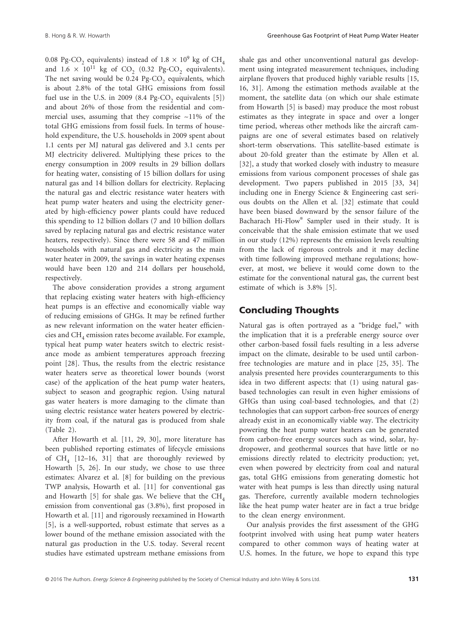0.08 Pg-CO<sub>2</sub> equivalents) instead of  $1.8 \times 10^9$  kg of CH<sub>4</sub> and  $1.6 \times 10^{11}$  kg of CO<sub>2</sub> (0.32 Pg-CO<sub>2</sub> equivalents). The net saving would be  $0.24$  Pg-CO<sub>2</sub> equivalents, which is about 2.8% of the total GHG emissions from fossil fuel use in the U.S. in 2009 (8.4 Pg-CO<sub>2</sub> equivalents  $[5]$ ) and about 26% of those from the residential and commercial uses, assuming that they comprise  $\sim$ 11% of the total GHG emissions from fossil fuels. In terms of household expenditure, the U.S. households in 2009 spent about 1.1 cents per MJ natural gas delivered and 3.1 cents per MJ electricity delivered. Multiplying these prices to the energy consumption in 2009 results in 29 billion dollars for heating water, consisting of 15 billion dollars for using natural gas and 14 billion dollars for electricity. Replacing the natural gas and electric resistance water heaters with heat pump water heaters and using the electricity generated by high-efficiency power plants could have reduced this spending to 12 billion dollars (7 and 10 billion dollars saved by replacing natural gas and electric resistance water heaters, respectively). Since there were 58 and 47 million households with natural gas and electricity as the main water heater in 2009, the savings in water heating expenses would have been 120 and 214 dollars per household, respectively.

The above consideration provides a strong argument that replacing existing water heaters with high-efficiency heat pumps is an effective and economically viable way of reducing emissions of GHGs. It may be refined further as new relevant information on the water heater efficiencies and  $CH<sub>4</sub>$  emission rates become available. For example, typical heat pump water heaters switch to electric resistance mode as ambient temperatures approach freezing point [28]. Thus, the results from the electric resistance water heaters serve as theoretical lower bounds (worst case) of the application of the heat pump water heaters, subject to season and geographic region. Using natural gas water heaters is more damaging to the climate than using electric resistance water heaters powered by electricity from coal, if the natural gas is produced from shale (Table 2).

After Howarth et al. [11, 29, 30], more literature has been published reporting estimates of lifecycle emissions of  $CH_4$  [12–16, 31] that are thoroughly reviewed by Howarth [5, 26]. In our study, we chose to use three estimates: Alvarez et al. [8] for building on the previous TWP analysis, Howarth et al. [11] for conventional gas and Howarth [5] for shale gas. We believe that the  $CH<sub>4</sub>$ emission from conventional gas (3.8%), first proposed in Howarth et al. [11] and rigorously reexamined in Howarth [5], is a well-supported, robust estimate that serves as a lower bound of the methane emission associated with the natural gas production in the U.S. today. Several recent studies have estimated upstream methane emissions from shale gas and other unconventional natural gas development using integrated measurement techniques, including airplane flyovers that produced highly variable results [15, 16, 31]. Among the estimation methods available at the moment, the satellite data (on which our shale estimate from Howarth [5] is based) may produce the most robust estimates as they integrate in space and over a longer time period, whereas other methods like the aircraft campaigns are one of several estimates based on relatively short-term observations. This satellite-based estimate is about 20-fold greater than the estimate by Allen et al. [32], a study that worked closely with industry to measure emissions from various component processes of shale gas development. Two papers published in 2015 [33, 34] including one in Energy Science & Engineering cast serious doubts on the Allen et al. [32] estimate that could have been biased downward by the sensor failure of the Bacharach Hi-Flow® Sampler used in their study. It is conceivable that the shale emission estimate that we used in our study (12%) represents the emission levels resulting from the lack of rigorous controls and it may decline with time following improved methane regulations; however, at most, we believe it would come down to the estimate for the conventional natural gas, the current best estimate of which is 3.8% [5].

### Concluding Thoughts

Natural gas is often portrayed as a "bridge fuel," with the implication that it is a preferable energy source over other carbon-based fossil fuels resulting in a less adverse impact on the climate, desirable to be used until carbonfree technologies are mature and in place [25, 35]. The analysis presented here provides counterarguments to this idea in two different aspects: that (1) using natural gasbased technologies can result in even higher emissions of GHGs than using coal-based technologies, and that (2) technologies that can support carbon-free sources of energy already exist in an economically viable way. The electricity powering the heat pump water heaters can be generated from carbon-free energy sources such as wind, solar, hydropower, and geothermal sources that have little or no emissions directly related to electricity production; yet, even when powered by electricity from coal and natural gas, total GHG emissions from generating domestic hot water with heat pumps is less than directly using natural gas. Therefore, currently available modern technologies like the heat pump water heater are in fact a true bridge to the clean energy environment.

Our analysis provides the first assessment of the GHG footprint involved with using heat pump water heaters compared to other common ways of heating water at U.S. homes. In the future, we hope to expand this type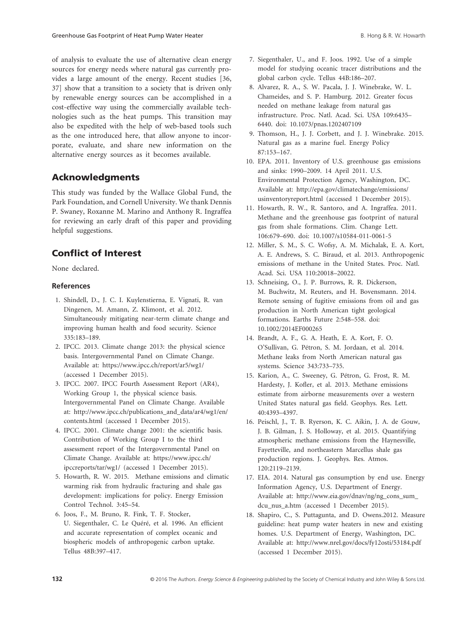of analysis to evaluate the use of alternative clean energy sources for energy needs where natural gas currently provides a large amount of the energy. Recent studies [36, 37] show that a transition to a society that is driven only by renewable energy sources can be accomplished in a cost-effective way using the commercially available technologies such as the heat pumps. This transition may also be expedited with the help of web-based tools such as the one introduced here, that allow anyone to incorporate, evaluate, and share new information on the alternative energy sources as it becomes available.

# Acknowledgments

This study was funded by the Wallace Global Fund, the Park Foundation, and Cornell University. We thank Dennis P. Swaney, Roxanne M. Marino and Anthony R. Ingraffea for reviewing an early draft of this paper and providing helpful suggestions.

# Conflict of Interest

None declared.

### **References**

- 1. Shindell, D., J. C. I. Kuylenstierna, E. Vignati, R. van Dingenen, M. Amann, Z. Klimont, et al. 2012. Simultaneously mitigating near-term climate change and improving human health and food security. Science 335:183–189.
- 2. IPCC. 2013. Climate change 2013: the physical science basis. Intergovernmental Panel on Climate Change. Available at: <https://www.ipcc.ch/report/ar5/wg1/> (accessed 1 December 2015).
- 3. IPCC. 2007. IPCC Fourth Assessment Report (AR4), Working Group 1, the physical science basis. Intergovernmental Panel on Climate Change. Available at: [http://www.ipcc.ch/publications\\_and\\_data/ar4/wg1/en/](http://www.ipcc.ch/publications_and_data/ar4/wg1/en/contents.html) [contents.html](http://www.ipcc.ch/publications_and_data/ar4/wg1/en/contents.html) (accessed 1 December 2015).
- 4. IPCC. 2001. Climate change 2001: the scientific basis. Contribution of Working Group I to the third assessment report of the Intergovernmental Panel on Climate Change. Available at: [https://www.ipcc.ch/](https://www.ipcc.ch/ipccreports/tar/wg1/) [ipccreports/tar/wg1/](https://www.ipcc.ch/ipccreports/tar/wg1/) (accessed 1 December 2015).
- 5. Howarth, R. W. 2015. Methane emissions and climatic warming risk from hydraulic fracturing and shale gas development: implications for policy. Energy Emission Control Technol. 3:45–54.
- 6. Joos, F., M. Bruno, R. Fink, T. F. Stocker, U. Siegenthaler, C. Le Quéré, et al. 1996. An efficient and accurate representation of complex oceanic and biospheric models of anthropogenic carbon uptake. Tellus 48B:397–417.
- 7. Siegenthaler, U., and F. Joos. 1992. Use of a simple model for studying oceanic tracer distributions and the global carbon cycle. Tellus 44B:186–207.
- 8. Alvarez, R. A., S. W. Pacala, J. J. Winebrake, W. L. Chameides, and S. P. Hamburg. 2012. Greater focus needed on methane leakage from natural gas infrastructure. Proc. Natl. Acad. Sci. USA 109:6435– 6440. doi: 10.1073/pnas.1202407109
- 9. Thomson, H., J. J. Corbett, and J. J. Winebrake. 2015. Natural gas as a marine fuel. Energy Policy 87:153–167.
- 10. EPA. 2011. Inventory of U.S. greenhouse gas emissions and sinks: 1990–2009. 14 April 2011. U.S. Environmental Protection Agency, Washington, DC. Available at: [http://epa.gov/climatechange/emissions/](http://epa.gov/climatechange/emissions/usinventoryreport.html) [usinventoryreport.html](http://epa.gov/climatechange/emissions/usinventoryreport.html) (accessed 1 December 2015).
- 11. Howarth, R. W., R. Santoro, and A. Ingraffea. 2011. Methane and the greenhouse gas footprint of natural gas from shale formations. Clim. Change Lett. 106:679–690. doi: 10.1007/s10584-011-0061-5
- 12. Miller, S. M., S. C. Wofsy, A. M. Michalak, E. A. Kort, A. E. Andrews, S. C. Biraud, et al. 2013. Anthropogenic emissions of methane in the United States. Proc. Natl. Acad. Sci. USA 110:20018–20022.
- 13. Schneising, O., J. P. Burrows, R. R. Dickerson, M. Buchwitz, M. Reuters, and H. Bovensmann. 2014. Remote sensing of fugitive emissions from oil and gas production in North American tight geological formations. Earths Future 2:548–558. doi: 10.1002/2014EF000265
- 14. Brandt, A. F., G. A. Heath, E. A. Kort, F. O. O'Sullivan, G. Pétron, S. M. Jordaan, et al. 2014. Methane leaks from North American natural gas systems. Science 343:733–735.
- 15. Karion, A., C. Sweeney, G. Pétron, G. Frost, R. M. Hardesty, J. Kofler, et al. 2013. Methane emissions estimate from airborne measurements over a western United States natural gas field. Geophys. Res. Lett. 40:4393–4397.
- 16. Peischl, J., T. B. Ryerson, K. C. Aikin, J. A. de Gouw, J. B. Gilman, J. S. Holloway, et al. 2015. Quantifying atmospheric methane emissions from the Haynesville, Fayetteville, and northeastern Marcellus shale gas production regions. J. Geophys. Res. Atmos. 120:2119–2139.
- 17. EIA. 2014. Natural gas consumption by end use. Energy Information Agency, U.S. Department of Energy. Available at: [http://www.eia.gov/dnav/ng/ng\\_cons\\_sum\\_](http://www.eia.gov/dnav/ng/ng_cons_sum_dcu_nus_a.htm) dcu nus a.htm (accessed 1 December 2015).
- 18. Shapiro, C., S. Puttagunta, and D. Owens.2012. Measure guideline: heat pump water heaters in new and existing homes. U.S. Department of Energy, Washington, DC. Available at: <http://www.nrel.gov/docs/fy12osti/53184.pdf> (accessed 1 December 2015).